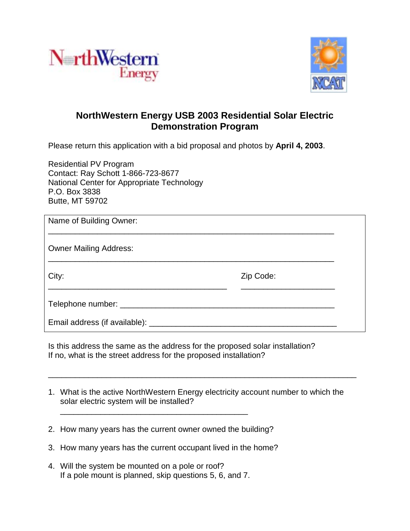



## **NorthWestern Energy USB 2003 Residential Solar Electric Demonstration Program**

Please return this application with a bid proposal and photos by **April 4, 2003**.

Residential PV Program Contact: Ray Schott 1-866-723-8677 National Center for Appropriate Technology P.O. Box 3838 Butte, MT 59702

| Name of Building Owner:               |           |  |
|---------------------------------------|-----------|--|
| <b>Owner Mailing Address:</b>         |           |  |
| City:                                 | Zip Code: |  |
|                                       |           |  |
| Email address (if available): _______ |           |  |

Is this address the same as the address for the proposed solar installation? If no, what is the street address for the proposed installation?

1. What is the active NorthWestern Energy electricity account number to which the solar electric system will be installed?

\_\_\_\_\_\_\_\_\_\_\_\_\_\_\_\_\_\_\_\_\_\_\_\_\_\_\_\_\_\_\_\_\_\_\_\_\_\_\_\_\_\_\_\_\_\_\_\_\_\_\_\_\_\_\_\_\_\_\_\_\_\_\_\_\_\_\_\_\_

2. How many years has the current owner owned the building?

\_\_\_\_\_\_\_\_\_\_\_\_\_\_\_\_\_\_\_\_\_\_\_\_\_\_\_\_\_\_\_\_\_\_\_\_\_\_\_\_\_\_

- 3. How many years has the current occupant lived in the home?
- 4. Will the system be mounted on a pole or roof? If a pole mount is planned, skip questions 5, 6, and 7.